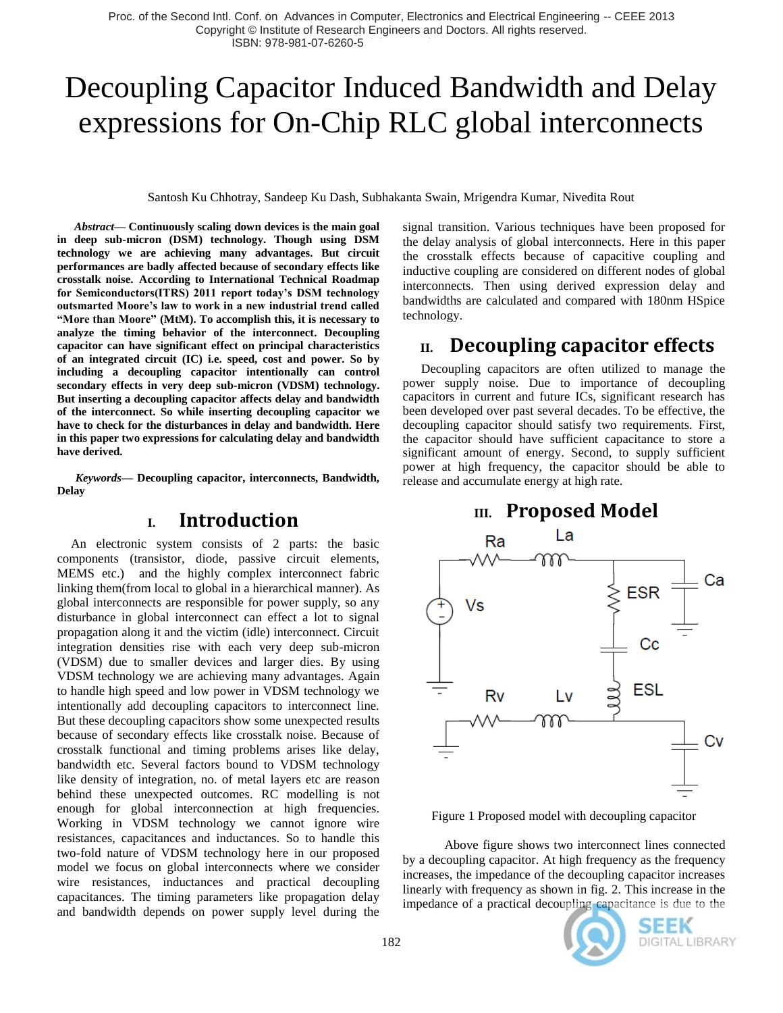# Decoupling Capacitor Induced Bandwidth and Delay expressions for On-Chip RLC global interconnects

Santosh Ku Chhotray, Sandeep Ku Dash, Subhakanta Swain, Mrigendra Kumar, Nivedita Rout

*Abstract***— Continuously scaling down devices is the main goal in deep sub-micron (DSM) technology. Though using DSM technology we are achieving many advantages. But circuit performances are badly affected because of secondary effects like crosstalk noise. According to International Technical Roadmap for Semiconductors(ITRS) 2011 report today's DSM technology outsmarted Moore's law to work in a new industrial trend called "More than Moore" (MtM). To accomplish this, it is necessary to analyze the timing behavior of the interconnect. Decoupling capacitor can have significant effect on principal characteristics of an integrated circuit (IC) i.e. speed, cost and power. So by including a decoupling capacitor intentionally can control secondary effects in very deep sub-micron (VDSM) technology. But inserting a decoupling capacitor affects delay and bandwidth of the interconnect. So while inserting decoupling capacitor we have to check for the disturbances in delay and bandwidth. Here in this paper two expressions for calculating delay and bandwidth have derived.**

*Keywords—* **Decoupling capacitor, interconnects, Bandwidth, Delay**

#### **I. Introduction**

An electronic system consists of 2 parts: the basic components (transistor, diode, passive circuit elements, MEMS etc.) and the highly complex interconnect fabric linking them(from local to global in a hierarchical manner). As global interconnects are responsible for power supply, so any disturbance in global interconnect can effect a lot to signal propagation along it and the victim (idle) interconnect. Circuit integration densities rise with each very deep sub-micron (VDSM) due to smaller devices and larger dies. By using VDSM technology we are achieving many advantages. Again to handle high speed and low power in VDSM technology we intentionally add decoupling capacitors to interconnect line. But these decoupling capacitors show some unexpected results because of secondary effects like crosstalk noise. Because of crosstalk functional and timing problems arises like delay, bandwidth etc. Several factors bound to VDSM technology like density of integration, no. of metal layers etc are reason behind these unexpected outcomes. RC modelling is not enough for global interconnection at high frequencies. Working in VDSM technology we cannot ignore wire resistances, capacitances and inductances. So to handle this two-fold nature of VDSM technology here in our proposed model we focus on global interconnects where we consider wire resistances, inductances and practical decoupling capacitances. The timing parameters like propagation delay and bandwidth depends on power supply level during the

signal transition. Various techniques have been proposed for the delay analysis of global interconnects. Here in this paper the crosstalk effects because of capacitive coupling and inductive coupling are considered on different nodes of global interconnects. Then using derived expression delay and bandwidths are calculated and compared with 180nm HSpice technology.

# **II. Decoupling capacitor effects**

Decoupling capacitors are often utilized to manage the power supply noise. Due to importance of decoupling capacitors in current and future ICs, significant research has been developed over past several decades. To be effective, the decoupling capacitor should satisfy two requirements. First, the capacitor should have sufficient capacitance to store a significant amount of energy. Second, to supply sufficient power at high frequency, the capacitor should be able to release and accumulate energy at high rate.

### **III. Proposed Model**



Figure 1 Proposed model with decoupling capacitor

 Above figure shows two interconnect lines connected by a decoupling capacitor. At high frequency as the frequency increases, the impedance of the decoupling capacitor increases linearly with frequency as shown in fig. 2. This increase in the impedance of a practical decoupling capacitance is due to the

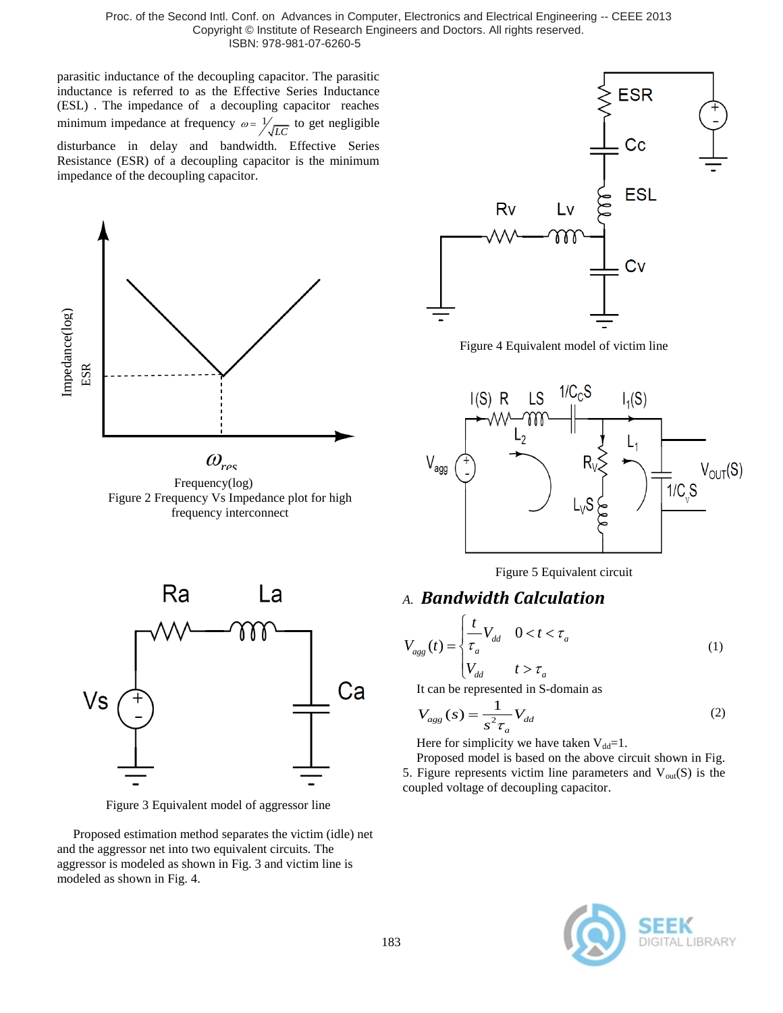parasitic inductance of the decoupling capacitor. The parasitic inductance is referred to as the Effective Series Inductance (ESL) . The impedance of a decoupling capacitor reaches minimum impedance at frequency  $\omega = \frac{1}{\sqrt{LC}}$  to get negligible disturbance in delay and bandwidth. Effective Series Resistance (ESR) of a decoupling capacitor is the minimum impedance of the decoupling capacitor.



Frequency(log) Figure 2 Frequency Vs Impedance plot for high frequency interconnect



Figure 4 Equivalent model of victim line





Figure 3 Equivalent model of aggressor line

 Proposed estimation method separates the victim (idle) net and the aggressor net into two equivalent circuits. The aggressor is modeled as shown in Fig. 3 and victim line is modeled as shown in Fig. 4.

Figure 5 Equivalent circuit

#### *A. Bandwidth Calculation*

$$
V_{agg}(t) = \begin{cases} \frac{t}{\tau_a} V_{dd} & 0 < t < \tau_a \\ V_{dd} & t > \tau_a \end{cases} \tag{1}
$$

It can be represented in S-domain as

$$
V_{agg}(s) = \frac{1}{s^2 \tau_a} V_{dd}
$$
 (2)

Here for simplicity we have taken  $V_{dd}=1$ .

Proposed model is based on the above circuit shown in Fig. 5. Figure represents victim line parameters and  $V_{out}(S)$  is the coupled voltage of decoupling capacitor.

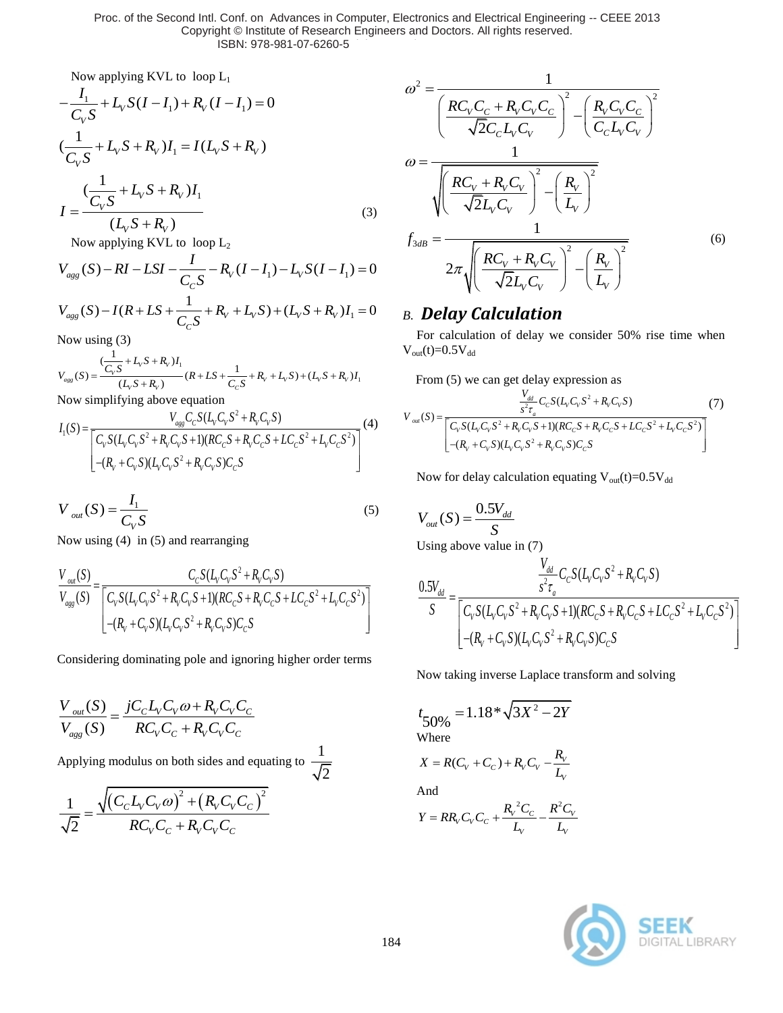Now applying KVL to loop L<sub>1</sub>  
\n
$$
-\frac{I_1}{C_V S} + L_V S (I - I_1) + R_V (I - I_1) = 0
$$
\n
$$
(\frac{1}{C_V S} + L_V S + R_V) I_1 = I (L_V S + R_V)
$$
\n
$$
I = \frac{(\frac{1}{C_V S} + L_V S + R_V) I_1}{(L_V S + R_V)}
$$
\n(3)

Now applying KVL to loop L<sub>2</sub> 
$$
f_1
$$
  
\n
$$
V_{agg}(S) - RI - LSI - \frac{I}{C_cS} - R_V(I - I_1) - L_VS(I - I_1) = 0
$$
\n
$$
V_{agg}(S) - I(R + LS + \frac{1}{C_cS} + R_V + L_VS) + (L_VS + R_V)I_1 = 0
$$

Now using (3)

Now using (3)  
\n
$$
V_{\text{cgs}}(S) = \frac{(\frac{1}{C_V} + L_V S + R_V)I_1}{(L_V S + R_V)} (R + LS + \frac{1}{C_C S} + R_V + L_V S) + (L_V S + R_V)I_1
$$
\nNow simplifying above equation  
\n
$$
I_1(S) = \frac{V_{\text{cgs}} C_C S (L_V C_V S^2 + R_V C_V S)}{V_{\text{cgs}} C_C S (L_V C_V S^2 + R_V C_V S)}
$$
\n(4)

Now simplifying above equation  
\n
$$
I_1(S) = \frac{V_{ags}C_cS(L_vC_vS^2 + R_vC_vS)}{\left[\frac{C_vS(L_vC_vS^2 + R_vC_vS + 1)(RC_cS + R_vC_cS + LC_cS^2 + L_vC_cS^2)}{-(R_v + C_vS)(L_vC_vS^2 + R_vC_vS)C_cS}\right]} (4)
$$

$$
V_{out}(S) = \frac{I_1}{C_V S}
$$
\n<sup>(5)</sup>

Now using (4) in (5) and rearranging  
\n
$$
\frac{V_{out}(S)}{V_{agg}(S)} = \frac{C_c S (L_v C_v S^2 + R_v C_v S)}{\left[ C_v S (L_v C_v S^2 + R_v C_v S + 1) (R C_c S + R_v C_c S + L C_c S^2 + L_v C_c S^2) \right]}
$$
\n
$$
-(R_v + C_v S) (L_v C_v S^2 + R_v C_v S) C_c S
$$

Considering dominating pole and ignoring higher order terms

$$
\frac{V_{out}(S)}{V_{agg}(S)} = \frac{jC_{C}L_{V}C_{V}\omega + R_{V}C_{V}C_{C}}{RC_{V}C_{C} + R_{V}C_{V}C_{C}}
$$

Applying modulus on both sides and equating to  $\frac{1}{\epsilon}$ 

$$
\frac{1}{\sqrt{2}} = \frac{\sqrt{(C_c L_v C_v \omega)^2 + (R_v C_v C_c)^2}}{RC_v C_c + R_v C_v C_c}
$$

$$
\omega^{2} = \frac{1}{\left(\frac{RC_{V}C_{C} + R_{V}C_{V}C_{C}}{\sqrt{2}C_{C}L_{V}C_{V}}\right)^{2} - \left(\frac{R_{V}C_{V}C_{C}}{C_{C}L_{V}C_{V}}\right)^{2}}
$$
\n
$$
\omega = \frac{1}{\sqrt{\left(\frac{RC_{V} + R_{V}C_{V}}{\sqrt{2}L_{V}C_{V}}\right)^{2} - \left(\frac{R_{V}}{L_{V}}\right)^{2}}}
$$
\n
$$
f_{3dB} = \frac{1}{2\pi\sqrt{\left(\frac{RC_{V} + R_{V}C_{V}}{\sqrt{2}L_{V}C_{V}}\right)^{2} - \left(\frac{R_{V}}{L_{V}}\right)^{2}}}
$$
\n(6)

## *B. Delay Calculation*

For calculation of delay we consider 50% rise time when  $V_{out}(t) = 0.5V_{dd}$ 

From (5) we can get delay expression as

From (5) we can get delay expression as  
\n
$$
V_{out}(S) = \frac{V_{dd}}{S_{\tau_a}^2} C_c S (L_v C_v S^2 + R_v C_v S)
$$
\n
$$
V_{out}(S) = \frac{[C_v S (L_v C_v S^2 + R_v C_v S + 1)(R C_c S + R_v C_c S + LC_c S^2 + L_v C_c S^2)]}{[-(R_v + C_v S)(L_v C_v S^2 + R_v C_v S) C_c S]}
$$
\n(7)

Now for delay calculation equating  $V_{out}(t)=0.5V_{dd}$ 

$$
V_{out}(S) = \frac{0.5V_{dd}}{S}
$$

Using above value in (7)

Using above value in (7)  
\n
$$
\frac{V_{dd}}{S} - C_C S (L_V C_V S^2 + R_V C_V S)
$$
\n
$$
\frac{0.5V_{dd}}{S} = \frac{C_V S (L_V C_V S^2 + R_V C_V S + 1)(RC_C S + R_V C_C S + LC_C S^2 + L_V C_C S^2)}{C_V S (L_V C_V S^2 + R_V C_V S) C_C S}
$$

Now taking inverse Laplace transform and solving

$$
t_{50\%} = 1.18 * \sqrt{3X^2 - 2Y}
$$
  
Where

$$
X = R(C_V + C_C) + R_V C_V - \frac{R_V}{L_V}
$$

And

$$
Y = RR_{V}C_{V}C_{C} + \frac{R_{V}^{2}C_{C}}{L_{V}} - \frac{R^{2}C_{V}}{L_{V}}
$$

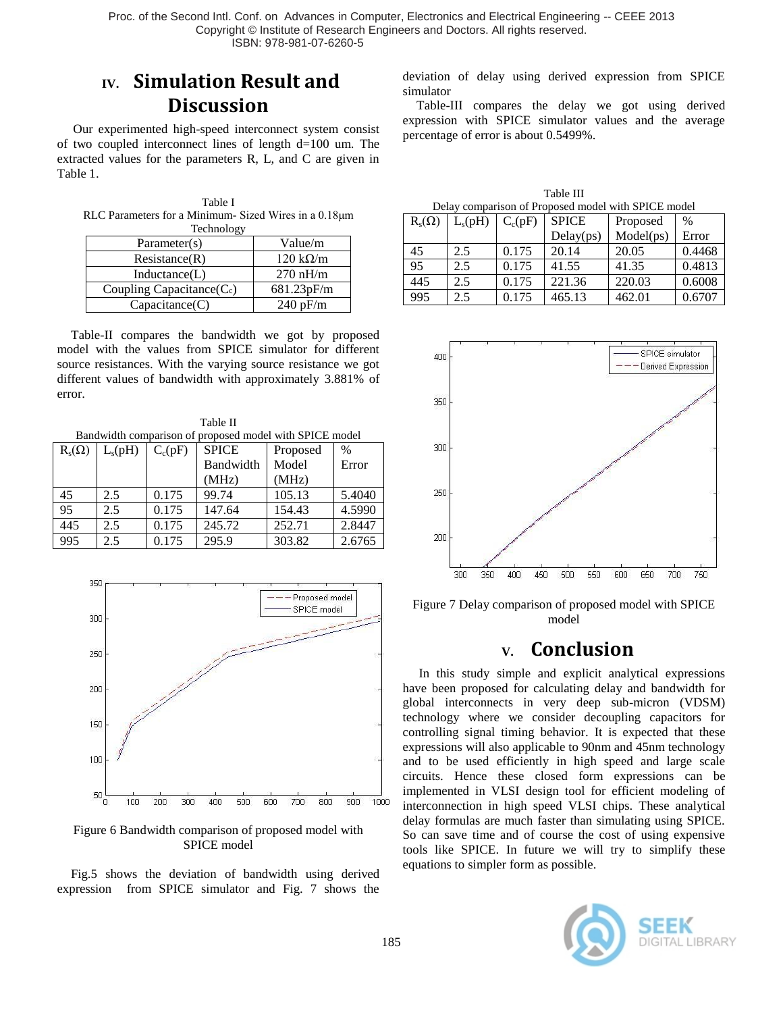# **IV. Simulation Result and Discussion**

 Our experimented high-speed interconnect system consist of two coupled interconnect lines of length d=100 um. The extracted values for the parameters R, L, and C are given in Table 1.

Table I RLC Parameters for a Minimum- Sized Wires in a 0.18μm **Technology** 

| $1$ vermong $\gamma$     |                         |  |  |  |
|--------------------------|-------------------------|--|--|--|
| Parameter(s)             | Value/m                 |  |  |  |
| Resistance(R)            | $120 \text{ k}\Omega/m$ |  |  |  |
| Inductance(L)            | $270$ nH/m              |  |  |  |
| Coupling Capacitance(Cc) | 681.23pF/m              |  |  |  |
| Capacitance(C)           | 240 pF/m                |  |  |  |

Table-II compares the bandwidth we got by proposed model with the values from SPICE simulator for different source resistances. With the varying source resistance we got different values of bandwidth with approximately 3.881% of error.

Table II Bandwidth comparison of proposed model with SPICE model  $R_s(\Omega)$  L<sub>s</sub>(pH) C<sub>c</sub>(pF) SPICE Bandwidth (MHz) Proposed Model (MHz) % Error 45 2.5 0.175 99.74 105.13 5.4040 95 2.5 0.175 147.64 154.43 4.5990 445 2.5 0.175 2.45.72 2.52.71 2.8447 995 2.5 0.175 295.9 303.82 2.6765



Figure 6 Bandwidth comparison of proposed model with SPICE model

Fig.5 shows the deviation of bandwidth using derived expression from SPICE simulator and Fig. 7 shows the deviation of delay using derived expression from SPICE simulator

Table-III compares the delay we got using derived expression with SPICE simulator values and the average percentage of error is about 0.5499%.

| Table III                                           |  |  |  |  |  |  |  |  |
|-----------------------------------------------------|--|--|--|--|--|--|--|--|
| Delay comparison of Proposed model with SPICE model |  |  |  |  |  |  |  |  |
|                                                     |  |  |  |  |  |  |  |  |

| $R_s(\Omega)$ | $L_s(pH)$ | $C_c(pF)$ | <b>SPICE</b> | Proposed  | $\%$   |
|---------------|-----------|-----------|--------------|-----------|--------|
|               |           |           | Delay(ps)    | Model(ps) | Error  |
| 45            | 2.5       | 0.175     | 20.14        | 20.05     | 0.4468 |
| 95            | 2.5       | 0.175     | 41.55        | 41.35     | 0.4813 |
| 445           | 2.5       | 0.175     | 221.36       | 220.03    | 0.6008 |
| 995           | 2.5       | 0.175     | 465.13       | 462.01    | 0.6707 |



Figure 7 Delay comparison of proposed model with SPICE model

# **V. Conclusion**

 In this study simple and explicit analytical expressions have been proposed for calculating delay and bandwidth for global interconnects in very deep sub-micron (VDSM) technology where we consider decoupling capacitors for controlling signal timing behavior. It is expected that these expressions will also applicable to 90nm and 45nm technology and to be used efficiently in high speed and large scale circuits. Hence these closed form expressions can be implemented in VLSI design tool for efficient modeling of interconnection in high speed VLSI chips. These analytical delay formulas are much faster than simulating using SPICE. So can save time and of course the cost of using expensive tools like SPICE. In future we will try to simplify these equations to simpler form as possible.